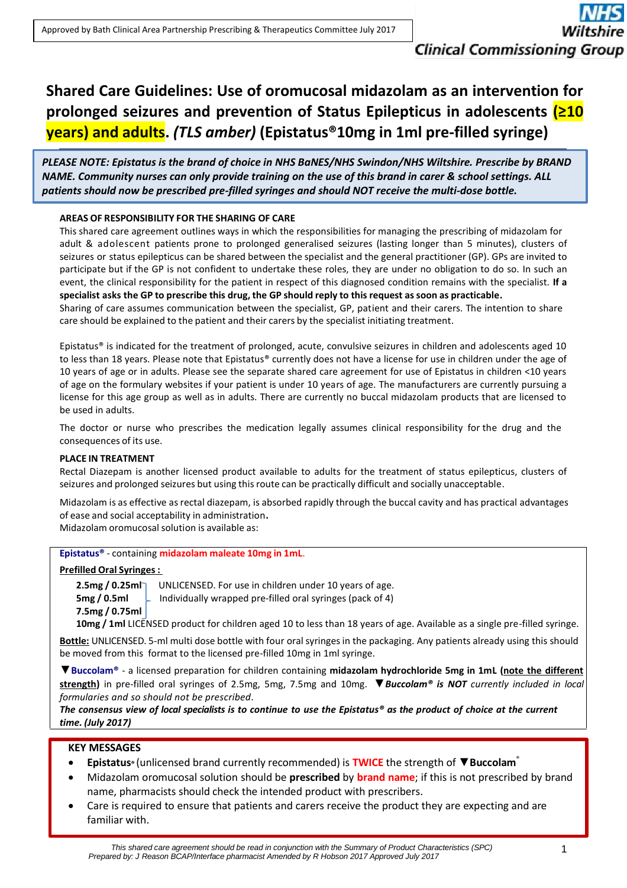# **Shared Care Guidelines: Use of oromucosal midazolam as an intervention for prolonged seizures and prevention of Status Epilepticus in adolescents (≥10 years) and adults.** *(TLS amber)* **(Epistatus®10mg in 1ml pre-filled syringe)**

*PLEASE NOTE: Epistatus is the brand of choice in NHS BaNES/NHS Swindon/NHS Wiltshire. Prescribe by BRAND NAME. Community nurses can only provide training on the use of this brand in carer & school settings. ALL patients should now be prescribed pre-filled syringes and should NOT receive the multi-dose bottle.*

# **AREAS OF RESPONSIBILITY FOR THE SHARING OF CARE**

This shared care agreement outlines ways in which the responsibilities for managing the prescribing of midazolam for adult & adolescent patients prone to prolonged generalised seizures (lasting longer than 5 minutes), clusters of seizures or status epilepticus can be shared between the specialist and the general practitioner (GP). GPs are invited to participate but if the GP is not confident to undertake these roles, they are under no obligation to do so. In such an event, the clinical responsibility for the patient in respect of this diagnosed condition remains with the specialist. **If a** specialist asks the GP to prescribe this drug, the GP should reply to this request as soon as practicable.

Sharing of care assumes communication between the specialist, GP, patient and their carers. The intention to share care should be explained to the patient and their carers by the specialist initiating treatment.

Epistatus® is indicated for the treatment of prolonged, acute, convulsive seizures in children and adolescents aged 10 to less than 18 years. Please note that Epistatus® currently does not have a license for use in children under the age of 10 years of age or in adults. Please see the separate shared care agreement for use of Epistatus in children <10 years of age on the formulary websites if your patient is under 10 years of age. The manufacturers are currently pursuing a license for this age group as well as in adults. There are currently no buccal midazolam products that are licensed to be used in adults.

The doctor or nurse who prescribes the medication legally assumes clinical responsibility for the drug and the consequences of its use.

# **PLACE IN TREATMENT**

Rectal Diazepam is another licensed product available to adults for the treatment of status epilepticus, clusters of seizures and prolonged seizures but using thisroute can be practically difficult and socially unacceptable.

Midazolam is as effective as rectal diazepam, is absorbed rapidly through the buccal cavity and has practical advantages of ease and social acceptability in administration**.**

Midazolam oromucosal solution is available as:

# **Epistatus®** - containing **midazolam maleate 10mg in 1mL**.

# **Prefilled Oral Syringes:**

**2.5mg / 0.25ml** UNLICENSED. For use in children under 10 years of age. **5mg / 0.5ml**  $\Box$  Individually wrapped pre-filled oral syringes (pack of 4) **7.5mg / 0.75ml**

**10mg / 1ml** LICENSED product for children aged 10 to less than 18 years of age. Available as a single pre-filled syringe.

**Bottle:** UNLICENSED. 5-ml multi dose bottle with four oral syringes in the packaging. Any patients already using this should be moved from this format to the licensed pre-filled 10mg in 1ml syringe.

▼**Buccolam®** - a licensed preparation for children containing **midazolam hydrochloride 5mg in 1mL (note the different strength)** in pre-filled oral syringes of 2.5mg, 5mg, 7.5mg and 10mg. ▼*Buccolam® is NOT currently included in local formularies and so should not be prescribed.*

*The consensus view of local specialists is to continue to use the Epistatus® as the product of choice at the current time. (July 2017)*

# **KEY MESSAGES**

- **Epistatus®** (unlicensed brand currently recommended) is **TWICE** the strength of ▼**Buccolam** ®
- Midazolam oromucosal solution should be **prescribed** by **brand name**; if this is not prescribed by brand name, pharmacists should check the intended product with prescribers.
- Care is required to ensure that patients and carers receive the product they are expecting and are familiar with.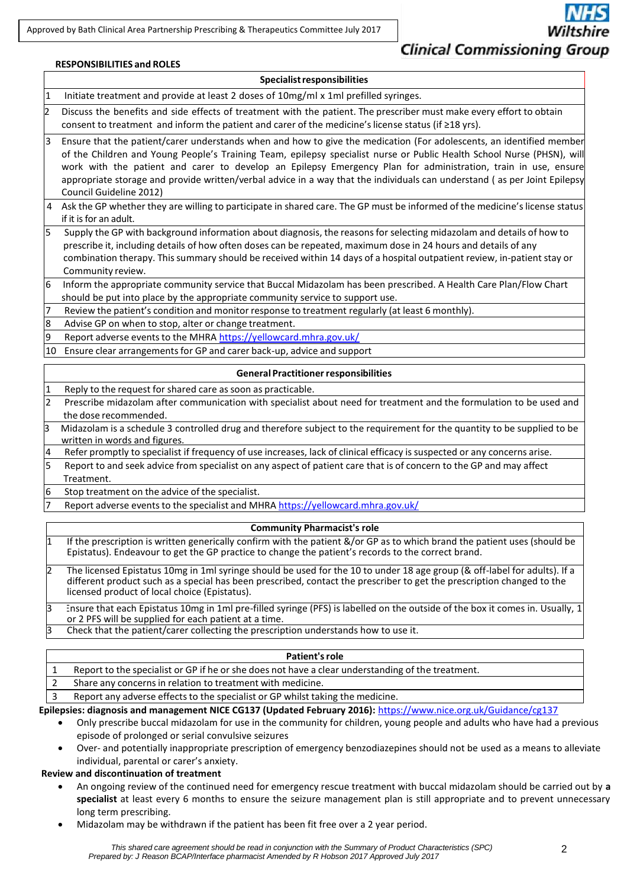Approved by Bath Clinical Area Partnership Prescribing & Therapeutics Committee July 2017

#### **RESPONSIBILITIES and ROLES**

# **Specialistresponsibilities**

1 Initiate treatment and provide at least 2 doses of 10mg/ml x 1ml prefilled syringes.

 $2$  Discuss the benefits and side effects of treatment with the patient. The prescriber must make every effort to obtain consent to treatment and inform the patient and carer of the medicine'slicense status (if ≥18 yrs).

- 3 Ensure that the patient/carer understands when and how to give the medication (For adolescents, an identified member of the Children and Young People's Training Team, epilepsy specialist nurse or Public Health School Nurse (PHSN), will work with the patient and carer to develop an Epilepsy Emergency Plan for administration, train in use, ensure appropriate storage and provide written/verbal advice in a way that the individuals can understand ( as per Joint Epilepsy Council Guideline 2012)
- 4 Ask the GP whether they are willing to participate in shared care. The GP must be informed of the medicine's license status if it is for an adult.
- 5 Supply the GP with background information about diagnosis, the reasonsfor selecting midazolam and details of how to prescribe it, including details of how often doses can be repeated, maximum dose in 24 hours and details of any combination therapy. Thissummary should be received within 14 days of a hospital outpatient review, in-patient stay or Community review.
- 6 Inform the appropriate community service that Buccal Midazolam has been prescribed. A Health Care Plan/Flow Chart should be put into place by the appropriate community service to support use.

Review the patient's condition and monitor response to treatment regularly (at least 6 monthly).

8 Advise GP on when to stop, alter or change treatment.

9 Report adverse events to the MHRA <https://yellowcard.mhra.gov.uk/>

10 Ensure clear arrangements for GP and carer back-up, advice and support

# **General Practitioner responsibilities**

Reply to the request for shared care as soon as practicable. 2 Prescribe midazolam after communication with specialist about need for treatment and the formulation to be used and the dose recommended. 3 Midazolam is a schedule 3 controlled drug and therefore subject to the requirement for the quantity to be supplied to be written in words and figures. 4 Refer promptly to specialist if frequency of use increases, lack of clinical efficacy is suspected or any concerns arise. 5 Report to and seek advice from specialist on any aspect of patient care that is of concern to the GP and may affect

Treatment. 6 Stop treatment on the advice of the specialist.

Report adverse events to the specialist and MHRA <https://yellowcard.mhra.gov.uk/>

#### **Community Pharmacist's role**

1 If the prescription is written generically confirm with the patient &/or GP as to which brand the patient uses (should be Epistatus). Endeavour to get the GP practice to change the patient's records to the correct brand.

2 The licensed Epistatus 10mg in 1ml syringe should be used for the 10 to under 18 age group (& off-label for adults). If a different product such as a special has been prescribed, contact the prescriber to get the prescription changed to the licensed product of local choice (Epistatus).

Ensure that each Epistatus 10mg in 1ml pre-filled syringe (PFS) is labelled on the outside of the box it comes in. Usually, 1 or 2 PFS will be supplied for each patient at a time.

3 Check that the patient/carer collecting the prescription understands how to use it.

#### **Patient'srole**

1 Report to the specialist or GP if he or she does not have a clear understanding of the treatment.

2 Share any concernsin relation to treatment with medicine.

3 Report any adverse effects to the specialist or GP whilst taking the medicine.

#### **Epilepsies: diagnosis and management NICE CG137 (Updated February 2016):** <https://www.nice.org.uk/Guidance/cg137>

- Only prescribe buccal midazolam for use in the community for children, young people and adults who have had a previous episode of prolonged or serial convulsive seizures
- Over- and potentially inappropriate prescription of emergency benzodiazepines should not be used as a means to alleviate individual, parental or carer's anxiety.

## **Review and discontinuation of treatment**

- An ongoing review of the continued need for emergency rescue treatment with buccal midazolam should be carried out by **a specialist** at least every 6 months to ensure the seizure management plan is still appropriate and to prevent unnecessary long term prescribing.
- Midazolam may be withdrawn if the patient has been fit free over a 2 year period.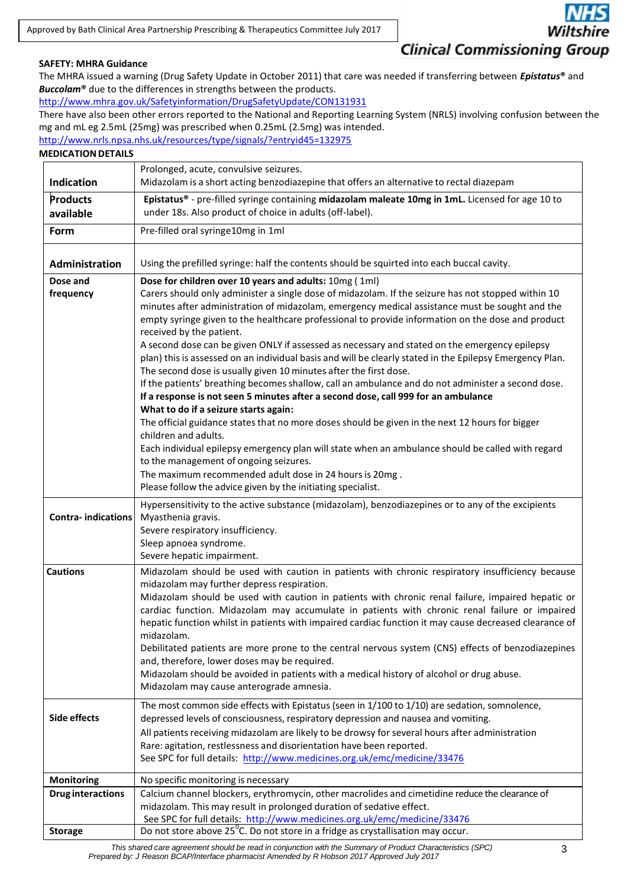# **Clinical Commissioning Group**

# **SAFETY: MHRA Guidance**

The MHRA issued a warning (Drug Safety Update in October 2011) that care was needed if transferring between *Epistatus***®** and *Buccolam***®** due to the differences in strengths between the products.

<http://www.mhra.gov.uk/Safetyinformation/DrugSafetyUpdate/CON131931>

There have also been other errors reported to the National and Reporting Learning System (NRLS) involving confusion between the mg and mL eg 2.5mL (25mg) was prescribed when 0.25mL (2.5mg) was intended.

<http://www.nrls.npsa.nhs.uk/resources/type/signals/?entryid45=132975>

# **MEDICATION DETAILS**

|                           | Prolonged, acute, convulsive seizures.                                                                                                                                                                                                                                                                                                                                                                                                                                                                                                                                                                                                                                                                                                                                                                                                                                                                                                                                                                                                                                                                                                                                                                                                                                                                                      |  |  |  |  |
|---------------------------|-----------------------------------------------------------------------------------------------------------------------------------------------------------------------------------------------------------------------------------------------------------------------------------------------------------------------------------------------------------------------------------------------------------------------------------------------------------------------------------------------------------------------------------------------------------------------------------------------------------------------------------------------------------------------------------------------------------------------------------------------------------------------------------------------------------------------------------------------------------------------------------------------------------------------------------------------------------------------------------------------------------------------------------------------------------------------------------------------------------------------------------------------------------------------------------------------------------------------------------------------------------------------------------------------------------------------------|--|--|--|--|
| <b>Indication</b>         | Midazolam is a short acting benzodiazepine that offers an alternative to rectal diazepam                                                                                                                                                                                                                                                                                                                                                                                                                                                                                                                                                                                                                                                                                                                                                                                                                                                                                                                                                                                                                                                                                                                                                                                                                                    |  |  |  |  |
| Products<br>available     | Epistatus® - pre-filled syringe containing midazolam maleate 10mg in 1mL. Licensed for age 10 to<br>under 18s. Also product of choice in adults (off-label).                                                                                                                                                                                                                                                                                                                                                                                                                                                                                                                                                                                                                                                                                                                                                                                                                                                                                                                                                                                                                                                                                                                                                                |  |  |  |  |
| Form                      | Pre-filled oral syringe10mg in 1ml                                                                                                                                                                                                                                                                                                                                                                                                                                                                                                                                                                                                                                                                                                                                                                                                                                                                                                                                                                                                                                                                                                                                                                                                                                                                                          |  |  |  |  |
| Administration            | Using the prefilled syringe: half the contents should be squirted into each buccal cavity.                                                                                                                                                                                                                                                                                                                                                                                                                                                                                                                                                                                                                                                                                                                                                                                                                                                                                                                                                                                                                                                                                                                                                                                                                                  |  |  |  |  |
| Dose and<br>frequency     | Dose for children over 10 years and adults: 10mg (1ml)<br>Carers should only administer a single dose of midazolam. If the seizure has not stopped within 10<br>minutes after administration of midazolam, emergency medical assistance must be sought and the<br>empty syringe given to the healthcare professional to provide information on the dose and product<br>received by the patient.<br>A second dose can be given ONLY if assessed as necessary and stated on the emergency epilepsy<br>plan) this is assessed on an individual basis and will be clearly stated in the Epilepsy Emergency Plan.<br>The second dose is usually given 10 minutes after the first dose.<br>If the patients' breathing becomes shallow, call an ambulance and do not administer a second dose.<br>If a response is not seen 5 minutes after a second dose, call 999 for an ambulance<br>What to do if a seizure starts again:<br>The official guidance states that no more doses should be given in the next 12 hours for bigger<br>children and adults.<br>Each individual epilepsy emergency plan will state when an ambulance should be called with regard<br>to the management of ongoing seizures.<br>The maximum recommended adult dose in 24 hours is 20mg.<br>Please follow the advice given by the initiating specialist. |  |  |  |  |
| <b>Contra-indications</b> | Hypersensitivity to the active substance (midazolam), benzodiazepines or to any of the excipients<br>Myasthenia gravis.<br>Severe respiratory insufficiency.<br>Sleep apnoea syndrome.<br>Severe hepatic impairment.                                                                                                                                                                                                                                                                                                                                                                                                                                                                                                                                                                                                                                                                                                                                                                                                                                                                                                                                                                                                                                                                                                        |  |  |  |  |
| <b>Cautions</b>           | Midazolam should be used with caution in patients with chronic respiratory insufficiency because<br>midazolam may further depress respiration.<br>Midazolam should be used with caution in patients with chronic renal failure, impaired hepatic or<br>cardiac function. Midazolam may accumulate in patients with chronic renal failure or impaired<br>hepatic function whilst in patients with impaired cardiac function it may cause decreased clearance of<br>midazolam.<br>Debilitated patients are more prone to the central nervous system (CNS) effects of benzodiazepines<br>and, therefore, lower doses may be required.<br>Midazolam should be avoided in patients with a medical history of alcohol or drug abuse.<br>Midazolam may cause anterograde amnesia.                                                                                                                                                                                                                                                                                                                                                                                                                                                                                                                                                  |  |  |  |  |
| Side effects              | The most common side effects with Epistatus (seen in 1/100 to 1/10) are sedation, somnolence,<br>depressed levels of consciousness, respiratory depression and nausea and vomiting.<br>All patients receiving midazolam are likely to be drowsy for several hours after administration<br>Rare: agitation, restlessness and disorientation have been reported.<br>See SPC for full details: http://www.medicines.org.uk/emc/medicine/33476                                                                                                                                                                                                                                                                                                                                                                                                                                                                                                                                                                                                                                                                                                                                                                                                                                                                                  |  |  |  |  |
| Monitoring                | No specific monitoring is necessary                                                                                                                                                                                                                                                                                                                                                                                                                                                                                                                                                                                                                                                                                                                                                                                                                                                                                                                                                                                                                                                                                                                                                                                                                                                                                         |  |  |  |  |
| <b>Drug interactions</b>  | Calcium channel blockers, erythromycin, other macrolides and cimetidine reduce the clearance of<br>midazolam. This may result in prolonged duration of sedative effect.<br>See SPC for full details: http://www.medicines.org.uk/emc/medicine/33476                                                                                                                                                                                                                                                                                                                                                                                                                                                                                                                                                                                                                                                                                                                                                                                                                                                                                                                                                                                                                                                                         |  |  |  |  |
| <b>Storage</b>            | Do not store above 25 <sup>°</sup> C. Do not store in a fridge as crystallisation may occur.                                                                                                                                                                                                                                                                                                                                                                                                                                                                                                                                                                                                                                                                                                                                                                                                                                                                                                                                                                                                                                                                                                                                                                                                                                |  |  |  |  |

*This shared care agreement should be read in conjunction with the Summary of Product Characteristics (SPC) Prepared by: J Reason BCAP/Interface pharmacist Amended by R Hobson 2017 Approved July 2017*